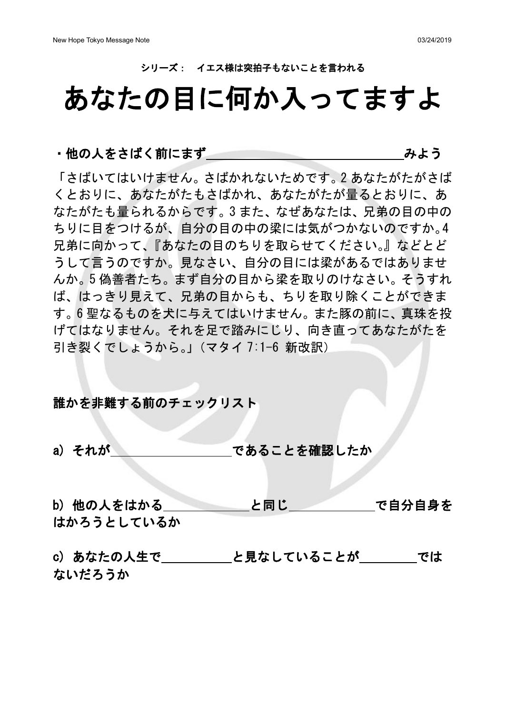#### シリーズ: イエス様は突拍子もないことを言われる

# あなたの目に何か入ってますよ

#### ・他の人をさばく前にまず しょう しゅうしょう みよう

「さばいてはいけません。さばかれないためです。2 あなたがたがさば くとおりに、あなたがたもさばかれ、あなたがたが量るとおりに、あ なたがたも量られるからです。3 また、なぜあなたは、兄弟の目の中の ちりに目をつけるが、自分の目の中の梁には気がつかないのですか。4 兄弟に向かって、『あなたの目のちりを取らせてください。』などとど うして言うのですか。見なさい、自分の目には梁があるではありませ んか。5 偽善者たち。まず自分の目から梁を取りのけなさい。そうすれ ば、はっきり見えて、兄弟の目からも、ちりを取り除くことができま す。6 聖なるものを犬に与えてはいけません。また豚の前に、真珠を投 げてはなりません。それを足で踏みにじり、向き直ってあなたがたを 引き裂くでしょうから。」(マタイ 7:1-6 新改訳)

#### 誰かを非難する前のチェックリスト

- a) それが であることを確認したか
- b) 他の人をはかる と同じ で自分自身を はかろうとしているか

c) あなたの人生で と見なしていることが では ないだろうか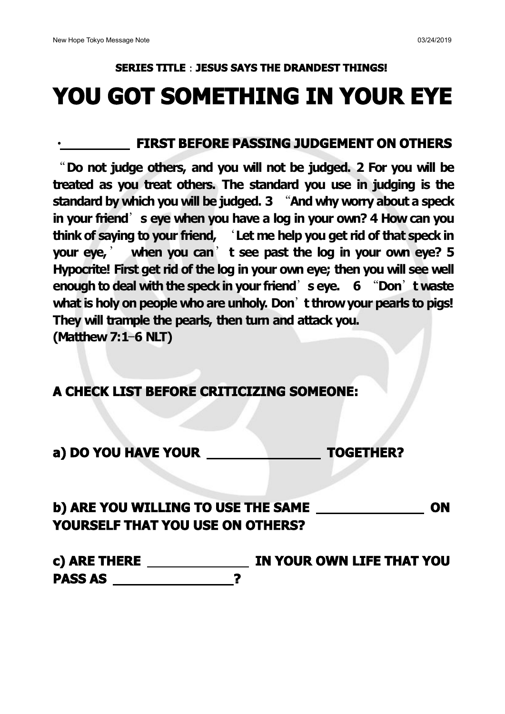## **SERIES TITLE**:**JESUS SAYS THE DRANDEST THINGS! YOU GOTSOMETHING IN YOUR EYE**

#### ・ **FIRST BEFORE PASSING JUDGEMENT ON OTHERS**

"**Do not judge others, and you will not be judged. 2 For you will be treated as you treat others. The standard you use in judging is the standard by which you will be judged. 3** "**And why worry about a speck in your friend**'**s eye when you have a log in your own? 4 How can you think of saying to your friend,** '**Let me help you get rid of that speck in your eye,**' **when you can**'**t see past the log in your own eye? 5 Hypocrite! First get rid of the log in your own eye; then you will see well enough to deal with the speckin your friend**'**s eye. 6** "**Don**'**t waste what is holy on people who are unholy. Don**'**t throwyour pearls to pigs! They will trample the pearls, then turn and attack you. (Matthew 7:1**—**6 NLT)**

**A CHECK LIST BEFORE CRITICIZING SOMEONE:**

### **b) ARE YOU WILLING TO USE THE SAME ON YOURSELF THAT YOU USE ON OTHERS?**

**c) ARE THERE IN YOUR OWN LIFE THAT YOU PASS AS ?**